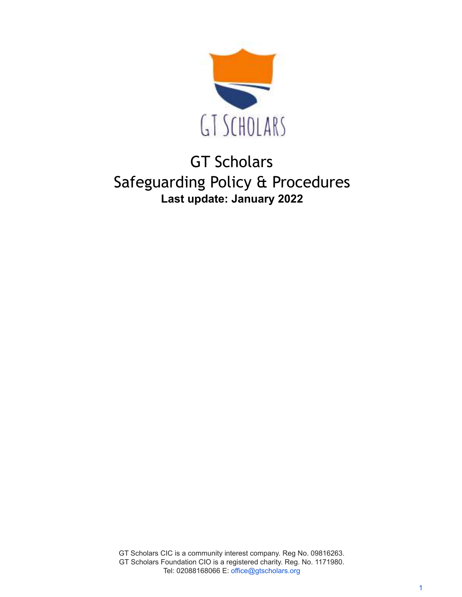

# GT Scholars Safeguarding Policy & Procedures **Last update: January 2022**

GT Scholars CIC is a community interest company. Reg No. 09816263. GT Scholars Foundation CIO is a registered charity. Reg. No. 1171980. Tel: 02088168066 E: office@gtscholars.org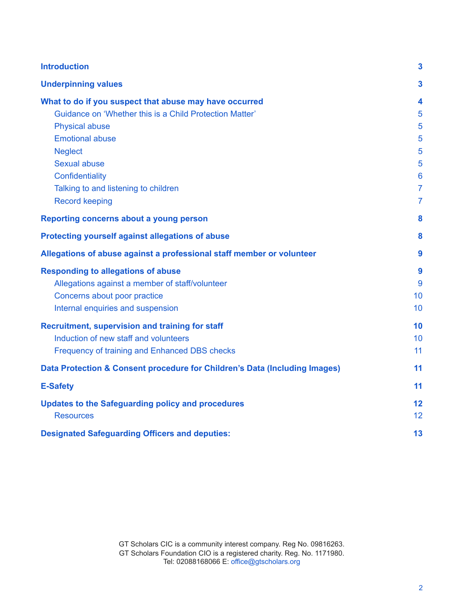| <b>Introduction</b>                                                        | 3                       |
|----------------------------------------------------------------------------|-------------------------|
| <b>Underpinning values</b>                                                 | 3                       |
| What to do if you suspect that abuse may have occurred                     | $\overline{\mathbf{4}}$ |
| Guidance on 'Whether this is a Child Protection Matter'                    | 5                       |
| <b>Physical abuse</b>                                                      | 5                       |
| <b>Emotional abuse</b>                                                     | 5                       |
| <b>Neglect</b>                                                             | 5                       |
| <b>Sexual abuse</b>                                                        | 5                       |
| Confidentiality                                                            | 6                       |
| Talking to and listening to children                                       | $\overline{7}$          |
| <b>Record keeping</b>                                                      | 7                       |
| Reporting concerns about a young person                                    | 8                       |
| Protecting yourself against allegations of abuse                           | 8                       |
| Allegations of abuse against a professional staff member or volunteer      | 9                       |
| <b>Responding to allegations of abuse</b>                                  | 9                       |
| Allegations against a member of staff/volunteer                            | 9                       |
| Concerns about poor practice                                               | 10                      |
| Internal enquiries and suspension                                          | 10                      |
| Recruitment, supervision and training for staff                            | 10                      |
| Induction of new staff and volunteers                                      | 10                      |
| Frequency of training and Enhanced DBS checks                              | 11                      |
| Data Protection & Consent procedure for Children's Data (Including Images) | 11                      |
| <b>E-Safety</b>                                                            | 11                      |
| <b>Updates to the Safeguarding policy and procedures</b>                   | 12                      |
| <b>Resources</b>                                                           | 12                      |
| <b>Designated Safeguarding Officers and deputies:</b>                      | 13                      |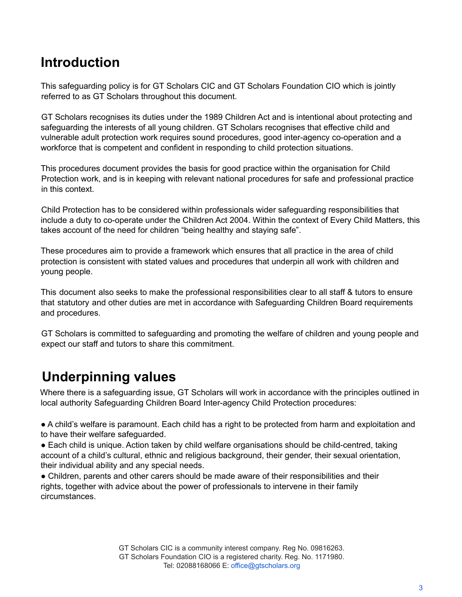### <span id="page-2-0"></span>**Introduction**

This safeguarding policy is for GT Scholars CIC and GT Scholars Foundation CIO which is jointly referred to as GT Scholars throughout this document.

GT Scholars recognises its duties under the 1989 Children Act and is intentional about protecting and safeguarding the interests of all young children. GT Scholars recognises that effective child and vulnerable adult protection work requires sound procedures, good inter-agency co-operation and a workforce that is competent and confident in responding to child protection situations.

This procedures document provides the basis for good practice within the organisation for Child Protection work, and is in keeping with relevant national procedures for safe and professional practice in this context.

Child Protection has to be considered within professionals wider safeguarding responsibilities that include a duty to co-operate under the Children Act 2004. Within the context of Every Child Matters, this takes account of the need for children "being healthy and staying safe".

These procedures aim to provide a framework which ensures that all practice in the area of child protection is consistent with stated values and procedures that underpin all work with children and young people.

This document also seeks to make the professional responsibilities clear to all staff & tutors to ensure that statutory and other duties are met in accordance with Safeguarding Children Board requirements and procedures.

<span id="page-2-1"></span>GT Scholars is committed to safeguarding and promoting the welfare of children and young people and expect our staff and tutors to share this commitment.

## **Underpinning values**

Where there is a safeguarding issue, GT Scholars will work in accordance with the principles outlined in local authority Safeguarding Children Board Inter-agency Child Protection procedures:

● A child's welfare is paramount. Each child has a right to be protected from harm and exploitation and to have their welfare safeguarded.

● Each child is unique. Action taken by child welfare organisations should be child-centred, taking account of a child's cultural, ethnic and religious background, their gender, their sexual orientation, their individual ability and any special needs.

● Children, parents and other carers should be made aware of their responsibilities and their rights, together with advice about the power of professionals to intervene in their family circumstances.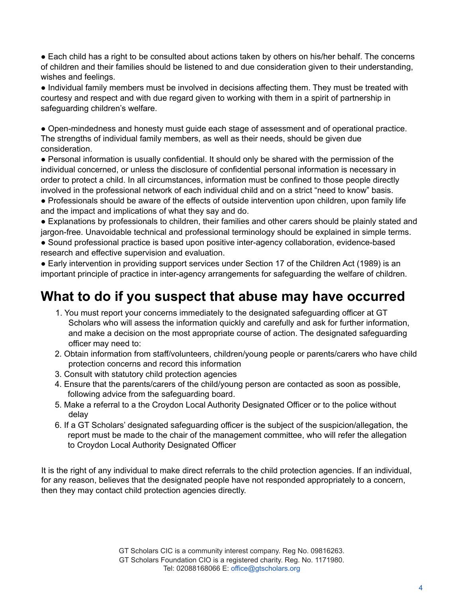● Each child has a right to be consulted about actions taken by others on his/her behalf. The concerns of children and their families should be listened to and due consideration given to their understanding, wishes and feelings.

● Individual family members must be involved in decisions affecting them. They must be treated with courtesy and respect and with due regard given to working with them in a spirit of partnership in safeguarding children's welfare.

● Open-mindedness and honesty must guide each stage of assessment and of operational practice. The strengths of individual family members, as well as their needs, should be given due consideration.

● Personal information is usually confidential. It should only be shared with the permission of the individual concerned, or unless the disclosure of confidential personal information is necessary in order to protect a child. In all circumstances, information must be confined to those people directly involved in the professional network of each individual child and on a strict "need to know" basis.

● Professionals should be aware of the effects of outside intervention upon children, upon family life and the impact and implications of what they say and do.

● Explanations by professionals to children, their families and other carers should be plainly stated and jargon-free. Unavoidable technical and professional terminology should be explained in simple terms.

● Sound professional practice is based upon positive inter-agency collaboration, evidence-based research and effective supervision and evaluation.

● Early intervention in providing support services under Section 17 of the Children Act (1989) is an important principle of practice in inter-agency arrangements for safeguarding the welfare of children.

## <span id="page-3-0"></span>**What to do if you suspect that abuse may have occurred**

- 1. You must report your concerns immediately to the designated safeguarding officer at GT Scholars who will assess the information quickly and carefully and ask for further information, and make a decision on the most appropriate course of action. The designated safeguarding officer may need to:
- 2. Obtain information from staff/volunteers, children/young people or parents/carers who have child protection concerns and record this information
- 3. Consult with statutory child protection agencies
- 4. Ensure that the parents/carers of the child/young person are contacted as soon as possible, following advice from the safeguarding board.
- 5. Make a referral to a the Croydon Local Authority Designated Officer or to the police without delay
- 6. If a GT Scholars' designated safeguarding officer is the subject of the suspicion/allegation, the report must be made to the chair of the management committee, who will refer the allegation to Croydon Local Authority Designated Officer

It is the right of any individual to make direct referrals to the child protection agencies. If an individual, for any reason, believes that the designated people have not responded appropriately to a concern, then they may contact child protection agencies directly.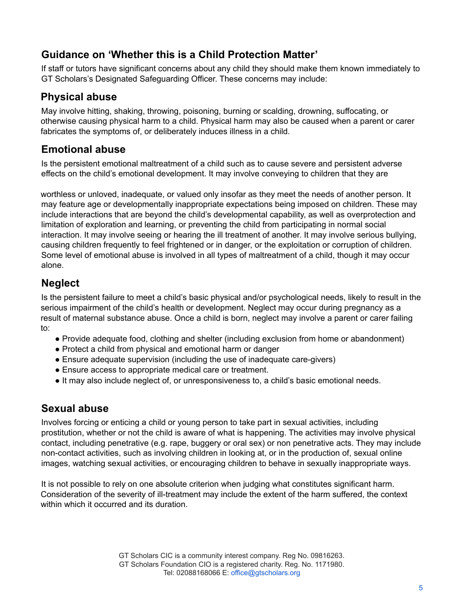### <span id="page-4-0"></span>**Guidance on 'Whether this is a Child Protection Matter'**

If staff or tutors have significant concerns about any child they should make them known immediately to GT Scholars's Designated Safeguarding Officer. These concerns may include:

### <span id="page-4-1"></span>**Physical abuse**

May involve hitting, shaking, throwing, poisoning, burning or scalding, drowning, suffocating, or otherwise causing physical harm to a child. Physical harm may also be caused when a parent or carer fabricates the symptoms of, or deliberately induces illness in a child.

### <span id="page-4-2"></span>**Emotional abuse**

Is the persistent emotional maltreatment of a child such as to cause severe and persistent adverse effects on the child's emotional development. It may involve conveying to children that they are

worthless or unloved, inadequate, or valued only insofar as they meet the needs of another person. It may feature age or developmentally inappropriate expectations being imposed on children. These may include interactions that are beyond the child's developmental capability, as well as overprotection and limitation of exploration and learning, or preventing the child from participating in normal social interaction. It may involve seeing or hearing the ill treatment of another. It may involve serious bullying, causing children frequently to feel frightened or in danger, or the exploitation or corruption of children. Some level of emotional abuse is involved in all types of maltreatment of a child, though it may occur alone.

### <span id="page-4-3"></span>**Neglect**

Is the persistent failure to meet a child's basic physical and/or psychological needs, likely to result in the serious impairment of the child's health or development. Neglect may occur during pregnancy as a result of maternal substance abuse. Once a child is born, neglect may involve a parent or carer failing to:

- Provide adequate food, clothing and shelter (including exclusion from home or abandonment)
- Protect a child from physical and emotional harm or danger
- Ensure adequate supervision (including the use of inadequate care-givers)
- Ensure access to appropriate medical care or treatment.
- <span id="page-4-4"></span>● It may also include neglect of, or unresponsiveness to, a child's basic emotional needs.

### **Sexual abuse**

Involves forcing or enticing a child or young person to take part in sexual activities, including prostitution, whether or not the child is aware of what is happening. The activities may involve physical contact, including penetrative (e.g. rape, buggery or oral sex) or non penetrative acts. They may include non-contact activities, such as involving children in looking at, or in the production of, sexual online images, watching sexual activities, or encouraging children to behave in sexually inappropriate ways.

It is not possible to rely on one absolute criterion when judging what constitutes significant harm. Consideration of the severity of ill-treatment may include the extent of the harm suffered, the context within which it occurred and its duration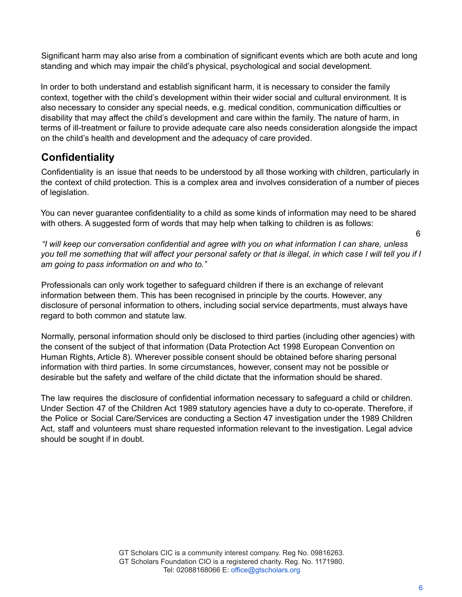Significant harm may also arise from a combination of significant events which are both acute and long standing and which may impair the child's physical, psychological and social development.

In order to both understand and establish significant harm, it is necessary to consider the family context, together with the child's development within their wider social and cultural environment. It is also necessary to consider any special needs, e.g. medical condition, communication difficulties or disability that may affect the child's development and care within the family. The nature of harm, in terms of ill-treatment or failure to provide adequate care also needs consideration alongside the impact on the child's health and development and the adequacy of care provided.

### <span id="page-5-0"></span>**Confidentiality**

Confidentiality is an issue that needs to be understood by all those working with children, particularly in the context of child protection. This is a complex area and involves consideration of a number of pieces of legislation.

You can never guarantee confidentiality to a child as some kinds of information may need to be shared with others. A suggested form of words that may help when talking to children is as follows:

6

*"I will keep our conversation confidential and agree with you on what information I can share, unless you tell me something that will affect your personal safety or that is illegal, in which case I will tell you if I am going to pass information on and who to."*

Professionals can only work together to safeguard children if there is an exchange of relevant information between them. This has been recognised in principle by the courts. However, any disclosure of personal information to others, including social service departments, must always have regard to both common and statute law.

Normally, personal information should only be disclosed to third parties (including other agencies) with the consent of the subject of that information (Data Protection Act 1998 European Convention on Human Rights, Article 8). Wherever possible consent should be obtained before sharing personal information with third parties. In some circumstances, however, consent may not be possible or desirable but the safety and welfare of the child dictate that the information should be shared.

The law requires the disclosure of confidential information necessary to safeguard a child or children. Under Section 47 of the Children Act 1989 statutory agencies have a duty to co-operate. Therefore, if the Police or Social Care/Services are conducting a Section 47 investigation under the 1989 Children Act, staff and volunteers must share requested information relevant to the investigation. Legal advice should be sought if in doubt.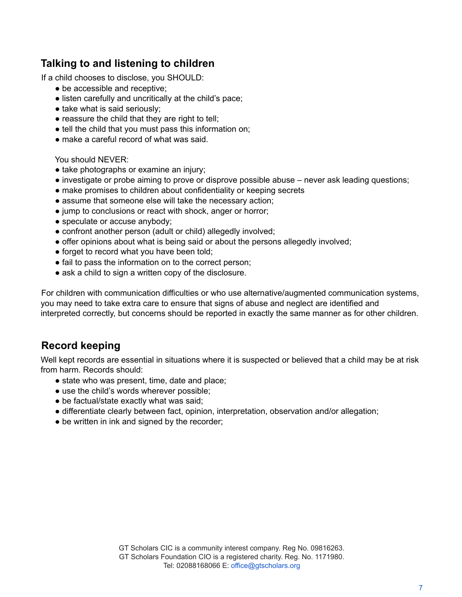### <span id="page-6-0"></span>**Talking to and listening to children**

If a child chooses to disclose, you SHOULD:

- be accessible and receptive:
- listen carefully and uncritically at the child's pace;
- take what is said seriously;
- reassure the child that they are right to tell;
- tell the child that you must pass this information on;
- make a careful record of what was said.

You should NEVER:

- take photographs or examine an injury;
- investigate or probe aiming to prove or disprove possible abuse never ask leading questions;
- make promises to children about confidentiality or keeping secrets
- assume that someone else will take the necessary action:
- jump to conclusions or react with shock, anger or horror;
- speculate or accuse anybody;
- confront another person (adult or child) allegedly involved;
- offer opinions about what is being said or about the persons allegedly involved;
- forget to record what you have been told;
- fail to pass the information on to the correct person:
- ask a child to sign a written copy of the disclosure.

For children with communication difficulties or who use alternative/augmented communication systems, you may need to take extra care to ensure that signs of abuse and neglect are identified and interpreted correctly, but concerns should be reported in exactly the same manner as for other children.

#### <span id="page-6-1"></span>**Record keeping**

Well kept records are essential in situations where it is suspected or believed that a child may be at risk from harm. Records should:

- state who was present, time, date and place;
- use the child's words wherever possible;
- be factual/state exactly what was said;
- differentiate clearly between fact, opinion, interpretation, observation and/or allegation;
- be written in ink and signed by the recorder;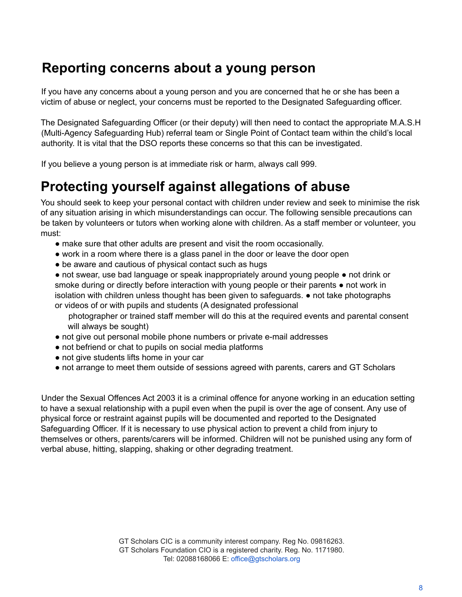### <span id="page-7-0"></span>**Reporting concerns about a young person**

If you have any concerns about a young person and you are concerned that he or she has been a victim of abuse or neglect, your concerns must be reported to the Designated Safeguarding officer.

The Designated Safeguarding Officer (or their deputy) will then need to contact the appropriate M.A.S.H (Multi-Agency Safeguarding Hub) referral team or Single Point of Contact team within the child's local authority. It is vital that the DSO reports these concerns so that this can be investigated.

<span id="page-7-1"></span>If you believe a young person is at immediate risk or harm, always call 999.

### **Protecting yourself against allegations of abuse**

You should seek to keep your personal contact with children under review and seek to minimise the risk of any situation arising in which misunderstandings can occur. The following sensible precautions can be taken by volunteers or tutors when working alone with children. As a staff member or volunteer, you must:

- make sure that other adults are present and visit the room occasionally.
- work in a room where there is a glass panel in the door or leave the door open
- be aware and cautious of physical contact such as hugs

● not swear, use bad language or speak inappropriately around young people ● not drink or smoke during or directly before interaction with young people or their parents  $\bullet$  not work in isolation with children unless thought has been given to safeguards. ● not take photographs or videos of or with pupils and students (A designated professional

photographer or trained staff member will do this at the required events and parental consent will always be sought)

- not give out personal mobile phone numbers or private e-mail addresses
- not befriend or chat to pupils on social media platforms
- not give students lifts home in your car
- not arrange to meet them outside of sessions agreed with parents, carers and GT Scholars

Under the Sexual Offences Act 2003 it is a criminal offence for anyone working in an education setting to have a sexual relationship with a pupil even when the pupil is over the age of consent. Any use of physical force or restraint against pupils will be documented and reported to the Designated Safeguarding Officer. If it is necessary to use physical action to prevent a child from injury to themselves or others, parents/carers will be informed. Children will not be punished using any form of verbal abuse, hitting, slapping, shaking or other degrading treatment.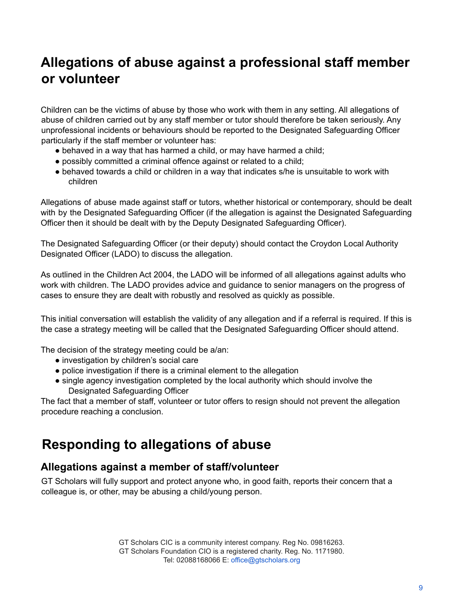## <span id="page-8-0"></span>**Allegations of abuse against a professional staff member or volunteer**

Children can be the victims of abuse by those who work with them in any setting. All allegations of abuse of children carried out by any staff member or tutor should therefore be taken seriously. Any unprofessional incidents or behaviours should be reported to the Designated Safeguarding Officer particularly if the staff member or volunteer has:

- behaved in a way that has harmed a child, or may have harmed a child;
- possibly committed a criminal offence against or related to a child;
- behaved towards a child or children in a way that indicates s/he is unsuitable to work with children

Allegations of abuse made against staff or tutors, whether historical or contemporary, should be dealt with by the Designated Safeguarding Officer (if the allegation is against the Designated Safeguarding Officer then it should be dealt with by the Deputy Designated Safeguarding Officer).

The Designated Safeguarding Officer (or their deputy) should contact the Croydon Local Authority Designated Officer (LADO) to discuss the allegation.

As outlined in the Children Act 2004, the LADO will be informed of all allegations against adults who work with children. The LADO provides advice and guidance to senior managers on the progress of cases to ensure they are dealt with robustly and resolved as quickly as possible.

This initial conversation will establish the validity of any allegation and if a referral is required. If this is the case a strategy meeting will be called that the Designated Safeguarding Officer should attend.

The decision of the strategy meeting could be a/an:

- investigation by children's social care
- police investigation if there is a criminal element to the allegation
- single agency investigation completed by the local authority which should involve the Designated Safeguarding Officer

<span id="page-8-1"></span>The fact that a member of staff, volunteer or tutor offers to resign should not prevent the allegation procedure reaching a conclusion.

### **Responding to allegations of abuse**

### <span id="page-8-2"></span>**Allegations against a member of staff/volunteer**

GT Scholars will fully support and protect anyone who, in good faith, reports their concern that a colleague is, or other, may be abusing a child/young person.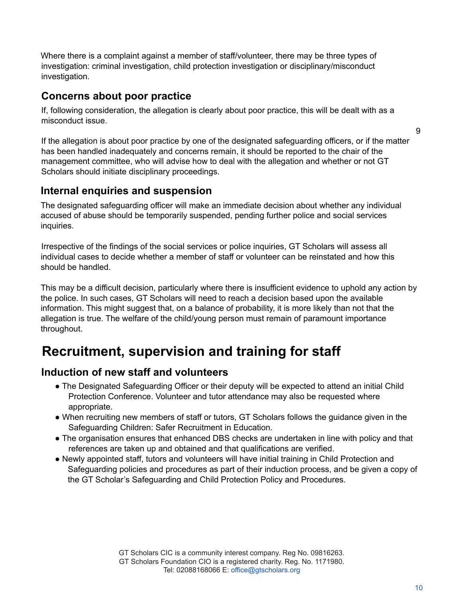Where there is a complaint against a member of staff/volunteer, there may be three types of investigation: criminal investigation, child protection investigation or disciplinary/misconduct investigation.

#### <span id="page-9-0"></span>**Concerns about poor practice**

If, following consideration, the allegation is clearly about poor practice, this will be dealt with as a misconduct issue.

If the allegation is about poor practice by one of the designated safeguarding officers, or if the matter has been handled inadequately and concerns remain, it should be reported to the chair of the management committee, who will advise how to deal with the allegation and whether or not GT Scholars should initiate disciplinary proceedings.

#### <span id="page-9-1"></span>**Internal enquiries and suspension**

The designated safeguarding officer will make an immediate decision about whether any individual accused of abuse should be temporarily suspended, pending further police and social services inquiries.

Irrespective of the findings of the social services or police inquiries, GT Scholars will assess all individual cases to decide whether a member of staff or volunteer can be reinstated and how this should be handled.

This may be a difficult decision, particularly where there is insufficient evidence to uphold any action by the police. In such cases, GT Scholars will need to reach a decision based upon the available information. This might suggest that, on a balance of probability, it is more likely than not that the allegation is true. The welfare of the child/young person must remain of paramount importance throughout.

### <span id="page-9-2"></span>**Recruitment, supervision and training for staff**

#### <span id="page-9-3"></span>**Induction of new staff and volunteers**

- The Designated Safeguarding Officer or their deputy will be expected to attend an initial Child Protection Conference. Volunteer and tutor attendance may also be requested where appropriate.
- When recruiting new members of staff or tutors, GT Scholars follows the guidance given in the Safeguarding Children: Safer Recruitment in Education.
- The organisation ensures that enhanced DBS checks are undertaken in line with policy and that references are taken up and obtained and that qualifications are verified.
- Newly appointed staff, tutors and volunteers will have initial training in Child Protection and Safeguarding policies and procedures as part of their induction process, and be given a copy of the GT Scholar's Safeguarding and Child Protection Policy and Procedures.

9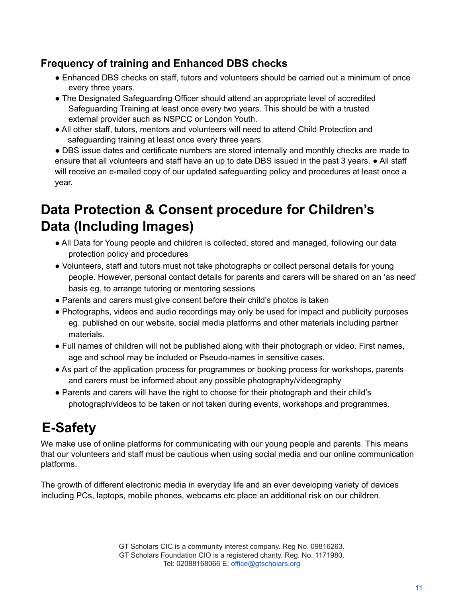### <span id="page-10-0"></span>**Frequency of training and Enhanced DBS checks**

- Enhanced DBS checks on staff, tutors and volunteers should be carried out a minimum of once every three years.
- The Designated Safeguarding Officer should attend an appropriate level of accredited Safeguarding Training at least once every two years. This should be with a trusted external provider such as NSPCC or London Youth.
- All other staff, tutors, mentors and volunteers will need to attend Child Protection and safeguarding training at least once every three years.

● DBS issue dates and certificate numbers are stored internally and monthly checks are made to ensure that all volunteers and staff have an up to date DBS issued in the past 3 years. ● All staff will receive an e-mailed copy of our updated safeguarding policy and procedures at least once a year.

## <span id="page-10-1"></span>**Data Protection & Consent procedure for Children's Data (Including Images)**

- All Data for Young people and children is collected, stored and managed, following our data protection policy and procedures
- Volunteers, staff and tutors must not take photographs or collect personal details for young people. However, personal contact details for parents and carers will be shared on an 'as need' basis eg. to arrange tutoring or mentoring sessions
- Parents and carers must give consent before their child's photos is taken
- Photographs, videos and audio recordings may only be used for impact and publicity purposes eg. published on our website, social media platforms and other materials including partner materials.
- Full names of children will not be published along with their photograph or video. First names, age and school may be included or Pseudo-names in sensitive cases.
- As part of the application process for programmes or booking process for workshops, parents and carers must be informed about any possible photography/videography
- Parents and carers will have the right to choose for their photograph and their child's photograph/videos to be taken or not taken during events, workshops and programmes.

## <span id="page-10-2"></span>**E-Safety**

We make use of online platforms for communicating with our young people and parents. This means that our volunteers and staff must be cautious when using social media and our online communication platforms.

The growth of different electronic media in everyday life and an ever developing variety of devices including PCs, laptops, mobile phones, webcams etc place an additional risk on our children.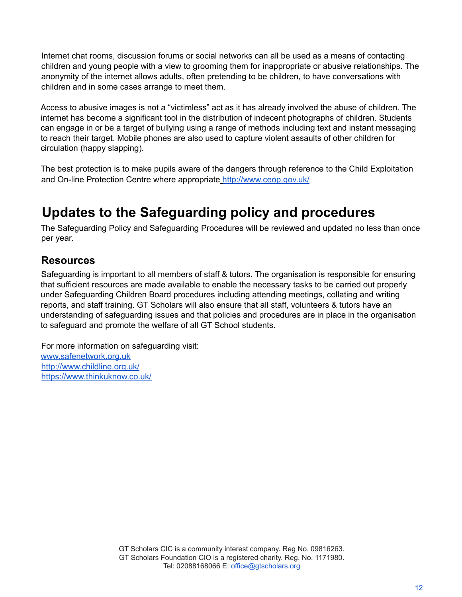Internet chat rooms, discussion forums or social networks can all be used as a means of contacting children and young people with a view to grooming them for inappropriate or abusive relationships. The anonymity of the internet allows adults, often pretending to be children, to have conversations with children and in some cases arrange to meet them.

Access to abusive images is not a "victimless" act as it has already involved the abuse of children. The internet has become a significant tool in the distribution of indecent photographs of children. Students can engage in or be a target of bullying using a range of methods including text and instant messaging to reach their target. Mobile phones are also used to capture violent assaults of other children for circulation (happy slapping).

The best protection is to make pupils aware of the dangers through reference to the Child Exploitation and On-line Protection Centre where appropriate http://www.ceop.gov.uk/

## <span id="page-11-0"></span>**Updates to the Safeguarding policy and procedures**

The Safeguarding Policy and Safeguarding Procedures will be reviewed and updated no less than once per year.

#### <span id="page-11-1"></span>**Resources**

Safeguarding is important to all members of staff & tutors. The organisation is responsible for ensuring that sufficient resources are made available to enable the necessary tasks to be carried out properly under Safeguarding Children Board procedures including attending meetings, collating and writing reports, and staff training. GT Scholars will also ensure that all staff, volunteers & tutors have an understanding of safeguarding issues and that policies and procedures are in place in the organisation to safeguard and promote the welfare of all GT School students.

For more information on safeguarding visit: www.safenetwork.org.uk http://www.childline.org.uk/ https://www.thinkuknow.co.uk/